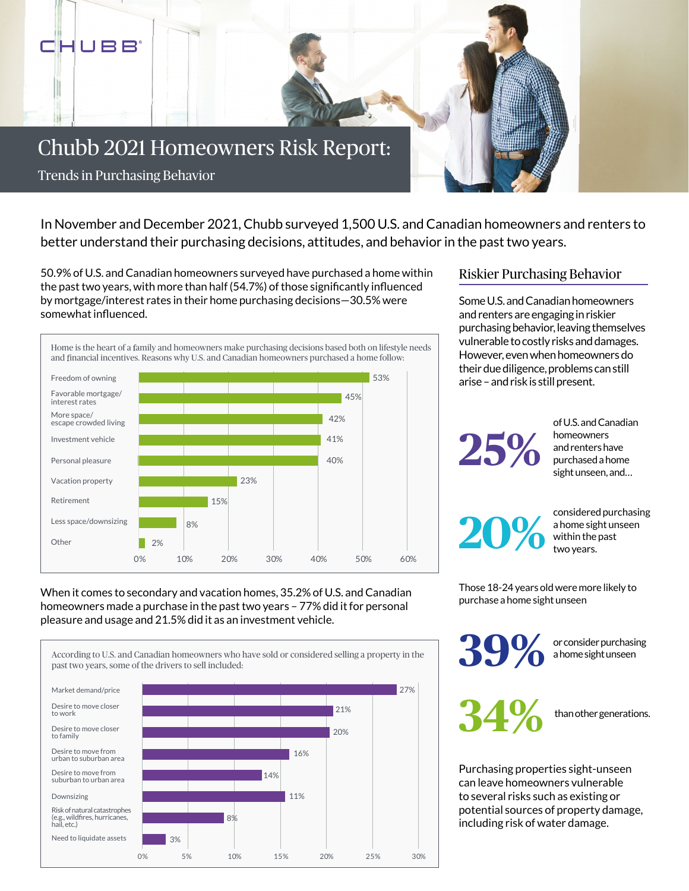

In November and December 2021, Chubb surveyed 1,500 U.S. and Canadian homeowners and renters to better understand their purchasing decisions, attitudes, and behavior in the past two years.

50.9% of U.S. and Canadian homeowners surveyed have purchased a home within the past two years, with more than half (54.7%) of those significantly influenced by mortgage/interest rates in their home purchasing decisions—30.5% were somewhat influenced.



## When it comes to secondary and vacation homes, 35.2% of U.S. and Canadian homeowners made a purchase in the past two years – 77% did it for personal pleasure and usage and 21.5% did it as an investment vehicle.



## Riskier Purchasing Behavior

Some U.S. and Canadian homeowners and renters are engaging in riskier purchasing behavior, leaving themselves vulnerable to costly risks and damages. However, even when homeowners do their due diligence, problems can still arise – and risk is still present.

**25%** 

of U.S. and Canadian homeowners and renters have purchased a home sight unseen, and…

**20%** considered purchasing a home sight unseen within the past two years.

Those 18-24 years old were more likely to purchase a home sight unseen

> **39%** or consider purchasing a home sight unseen

**34%** than other generations.

Purchasing properties sight-unseen can leave homeowners vulnerable to several risks such as existing or potential sources of property damage, including risk of water damage.